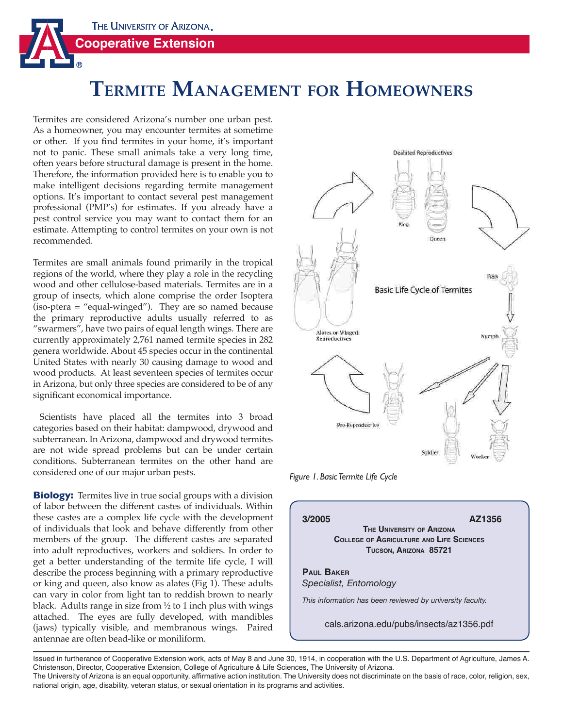

# **TERMITE MANAGEMENT FOR HOMEOWNERS**

Termites are considered Arizona's number one urban pest. As a homeowner, you may encounter termites at sometime or other. If you find termites in your home, it's important not to panic. These small animals take a very long time, often years before structural damage is present in the home. Therefore, the information provided here is to enable you to make intelligent decisions regarding termite management options. It's important to contact several pest management professional (PMP's) for estimates. If you already have a pest control service you may want to contact them for an estimate. Attempting to control termites on your own is not recommended.

Termites are small animals found primarily in the tropical regions of the world, where they play a role in the recycling wood and other cellulose-based materials. Termites are in a group of insects, which alone comprise the order Isoptera (iso-ptera = "equal-winged"). They are so named because the primary reproductive adults usually referred to as "swarmers", have two pairs of equal length wings. There are currently approximately 2,761 named termite species in 282 genera worldwide. About 45 species occur in the continental United States with nearly 30 causing damage to wood and wood products. At least seventeen species of termites occur in Arizona, but only three species are considered to be of any significant economical importance.

 Scientists have placed all the termites into 3 broad categories based on their habitat: dampwood, drywood and subterranean. In Arizona, dampwood and drywood termites are not wide spread problems but can be under certain conditions. Subterranean termites on the other hand are considered one of our major urban pests.

**Biology:** Termites live in true social groups with a division of labor between the different castes of individuals. Within these castes are a complex life cycle with the development of individuals that look and behave differently from other members of the group. The different castes are separated into adult reproductives, workers and soldiers. In order to get a better understanding of the termite life cycle, I will describe the process beginning with a primary reproductive or king and queen, also know as alates (Fig 1). These adults can vary in color from light tan to reddish brown to nearly black. Adults range in size from ½ to 1 inch plus with wings attached. The eyes are fully developed, with mandibles (jaws) typically visible, and membranous wings. Paired antennae are often bead-like or moniliform.



*Figure 1. Basic Termite Life Cycle*



Issued in furtherance of Cooperative Extension work, acts of May 8 and June 30, 1914, in cooperation with the U.S. Department of Agriculture, James A. Christenson, Director, Cooperative Extension, College of Agriculture & Life Sciences, The University of Arizona.

The University of Arizona is an equal opportunity, affirmative action institution. The University does not discriminate on the basis of race, color, religion, sex, national origin, age, disability, veteran status, or sexual orientation in its programs and activities.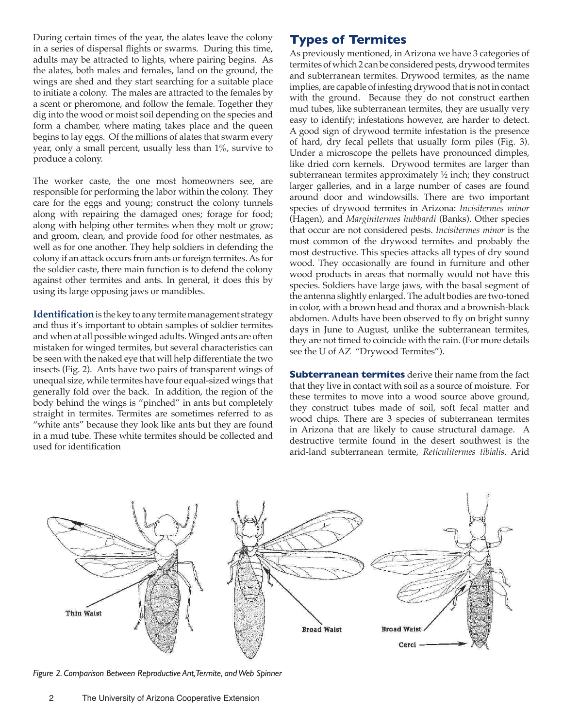During certain times of the year, the alates leave the colony in a series of dispersal flights or swarms. During this time, adults may be attracted to lights, where pairing begins. As the alates, both males and females, land on the ground, the wings are shed and they start searching for a suitable place to initiate a colony. The males are attracted to the females by a scent or pheromone, and follow the female. Together they dig into the wood or moist soil depending on the species and form a chamber, where mating takes place and the queen begins to lay eggs. Of the millions of alates that swarm every year, only a small percent, usually less than  $1\%$ , survive to produce a colony.

The worker caste, the one most homeowners see, are responsible for performing the labor within the colony. They care for the eggs and young; construct the colony tunnels along with repairing the damaged ones; forage for food; along with helping other termites when they molt or grow; and groom, clean, and provide food for other nestmates, as well as for one another. They help soldiers in defending the colony if an attack occurs from ants or foreign termites. As for the soldier caste, there main function is to defend the colony against other termites and ants. In general, it does this by using its large opposing jaws or mandibles.

**Identification** is the key to any termite management strategy and thus it's important to obtain samples of soldier termites and when at all possible winged adults. Winged ants are often mistaken for winged termites, but several characteristics can be seen with the naked eye that will help differentiate the two insects (Fig. 2). Ants have two pairs of transparent wings of unequal size, while termites have four equal-sized wings that generally fold over the back. In addition, the region of the body behind the wings is "pinched" in ants but completely straight in termites. Termites are sometimes referred to as "white ants" because they look like ants but they are found in a mud tube. These white termites should be collected and used for identification

# **Types of Termites**

As previously mentioned, in Arizona we have 3 categories of termites of which 2 can be considered pests, drywood termites and subterranean termites. Drywood termites, as the name implies, are capable of infesting drywood that is not in contact with the ground. Because they do not construct earthen mud tubes, like subterranean termites, they are usually very easy to identify; infestations however, are harder to detect. A good sign of drywood termite infestation is the presence of hard, dry fecal pellets that usually form piles (Fig. 3). Under a microscope the pellets have pronounced dimples, like dried corn kernels. Drywood termites are larger than subterranean termites approximately ½ inch; they construct larger galleries, and in a large number of cases are found around door and windowsills. There are two important species of drywood termites in Arizona: *Incisitermes minor*  (Hagen), and *Marginitermes hubbardi* (Banks). Other species that occur are not considered pests. *Incisitermes minor* is the most common of the drywood termites and probably the most destructive. This species attacks all types of dry sound wood. They occasionally are found in furniture and other wood products in areas that normally would not have this species. Soldiers have large jaws, with the basal segment of the antenna slightly enlarged. The adult bodies are two-toned in color, with a brown head and thorax and a brownish-black abdomen. Adults have been observed to fly on bright sunny days in June to August, unlike the subterranean termites, they are not timed to coincide with the rain. (For more details see the U of AZ "Drywood Termites").

**Subterranean termites** derive their name from the fact that they live in contact with soil as a source of moisture. For these termites to move into a wood source above ground, they construct tubes made of soil, soft fecal matter and wood chips. There are 3 species of subterranean termites in Arizona that are likely to cause structural damage. A destructive termite found in the desert southwest is the arid-land subterranean termite, *Reticulitermes tibialis*. Arid



*Figure 2. Comparison Between Reproductive Ant, Termite, and Web Spinner*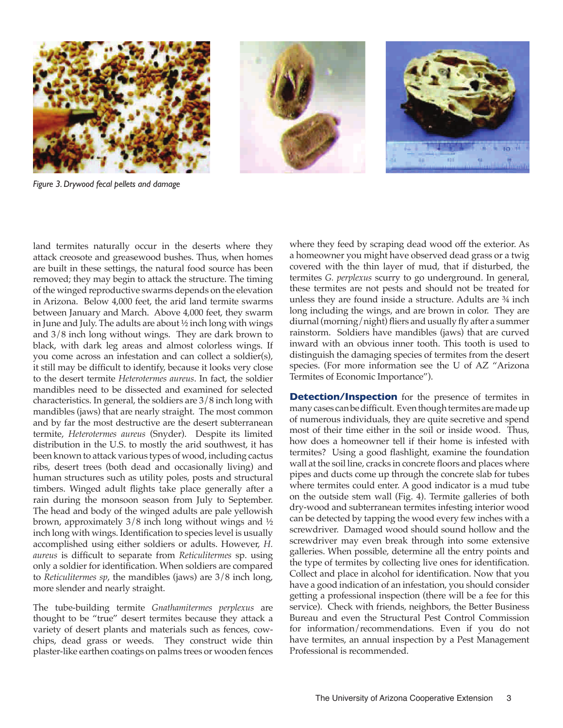

*Figure 3. Drywood fecal pellets and damage*



The tube-building termite *Gnathamitermes perplexus* are thought to be "true" desert termites because they attack a variety of desert plants and materials such as fences, cowchips, dead grass or weeds. They construct wide thin plaster-like earthen coatings on palms trees or wooden fences

where they feed by scraping dead wood off the exterior. As a homeowner you might have observed dead grass or a twig covered with the thin layer of mud, that if disturbed, the termites *G. perplexus* scurry to go underground. In general, these termites are not pests and should not be treated for unless they are found inside a structure. Adults are ¾ inch long including the wings, and are brown in color. They are diurnal (morning/night) fliers and usually fly after a summer rainstorm. Soldiers have mandibles (jaws) that are curved inward with an obvious inner tooth. This tooth is used to distinguish the damaging species of termites from the desert species. (For more information see the U of AZ "Arizona Termites of Economic Importance").

**Detection/Inspection** for the presence of termites in many cases can be difficult. Even though termites are made up of numerous individuals, they are quite secretive and spend most of their time either in the soil or inside wood. Thus, how does a homeowner tell if their home is infested with termites? Using a good flashlight, examine the foundation wall at the soil line, cracks in concrete floors and places where pipes and ducts come up through the concrete slab for tubes where termites could enter. A good indicator is a mud tube on the outside stem wall (Fig. 4). Termite galleries of both dry-wood and subterranean termites infesting interior wood can be detected by tapping the wood every few inches with a screwdriver. Damaged wood should sound hollow and the screwdriver may even break through into some extensive galleries. When possible, determine all the entry points and the type of termites by collecting live ones for identification. Collect and place in alcohol for identification. Now that you have a good indication of an infestation, you should consider getting a professional inspection (there will be a fee for this service). Check with friends, neighbors, the Better Business Bureau and even the Structural Pest Control Commission for information/recommendations. Even if you do not have termites, an annual inspection by a Pest Management Professional is recommended.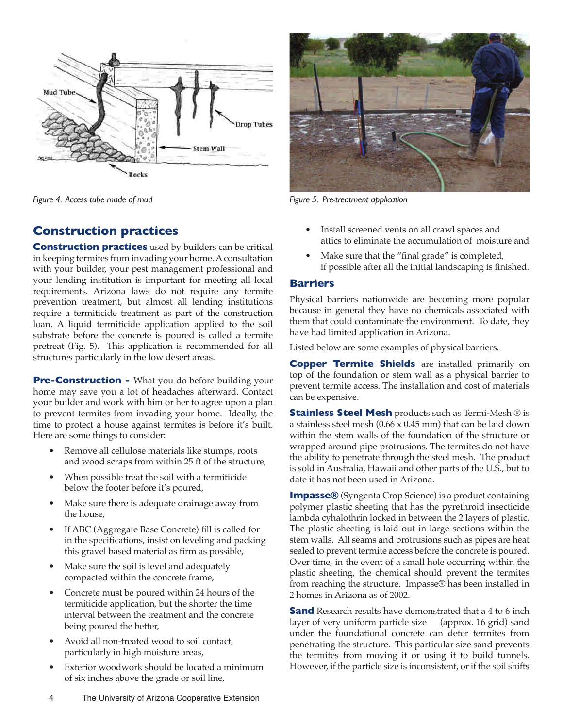

*Figure 4. Access tube made of mud*

## **Construction practices**

**Construction practices** used by builders can be critical in keeping termites from invading your home. A consultation with your builder, your pest management professional and your lending institution is important for meeting all local requirements. Arizona laws do not require any termite prevention treatment, but almost all lending institutions require a termiticide treatment as part of the construction loan. A liquid termiticide application applied to the soil substrate before the concrete is poured is called a termite pretreat (Fig. 5). This application is recommended for all structures particularly in the low desert areas.

**Pre-Construction -** What you do before building your home may save you a lot of headaches afterward. Contact your builder and work with him or her to agree upon a plan to prevent termites from invading your home. Ideally, the time to protect a house against termites is before it's built. Here are some things to consider:

- Remove all cellulose materials like stumps, roots and wood scraps from within 25 ft of the structure,
- When possible treat the soil with a termiticide below the footer before it's poured,
- Make sure there is adequate drainage away from the house,
- If ABC (Aggregate Base Concrete) fill is called for in the specifications, insist on leveling and packing this gravel based material as firm as possible,
- Make sure the soil is level and adequately compacted within the concrete frame,
- Concrete must be poured within 24 hours of the termiticide application, but the shorter the time interval between the treatment and the concrete being poured the better,
- Avoid all non-treated wood to soil contact, particularly in high moisture areas,
- Exterior woodwork should be located a minimum of six inches above the grade or soil line,



*Figure 5. Pre-treatment application*

- Install screened vents on all crawl spaces and attics to eliminate the accumulation of moisture and
- Make sure that the "final grade" is completed, if possible after all the initial landscaping is finished.

#### **Barriers**

Physical barriers nationwide are becoming more popular because in general they have no chemicals associated with them that could contaminate the environment. To date, they have had limited application in Arizona.

Listed below are some examples of physical barriers.

**Copper Termite Shields** are installed primarily on top of the foundation or stem wall as a physical barrier to prevent termite access. The installation and cost of materials can be expensive.

**Stainless Steel Mesh** products such as Termi-Mesh ® is a stainless steel mesh  $(0.66 \times 0.45 \text{ mm})$  that can be laid down within the stem walls of the foundation of the structure or wrapped around pipe protrusions. The termites do not have the ability to penetrate through the steel mesh. The product is sold in Australia, Hawaii and other parts of the U.S., but to date it has not been used in Arizona.

**Impasse®** (Syngenta Crop Science) is a product containing polymer plastic sheeting that has the pyrethroid insecticide lambda cyhalothrin locked in between the 2 layers of plastic. The plastic sheeting is laid out in large sections within the stem walls. All seams and protrusions such as pipes are heat sealed to prevent termite access before the concrete is poured. Over time, in the event of a small hole occurring within the plastic sheeting, the chemical should prevent the termites from reaching the structure. Impasse® has been installed in 2 homes in Arizona as of 2002.

**Sand** Research results have demonstrated that a 4 to 6 inch layer of very uniform particle size (approx. 16 grid) sand layer of very uniform particle size under the foundational concrete can deter termites from penetrating the structure. This particular size sand prevents the termites from moving it or using it to build tunnels. However, if the particle size is inconsistent, or if the soil shifts

4 The University of Arizona Cooperative Extension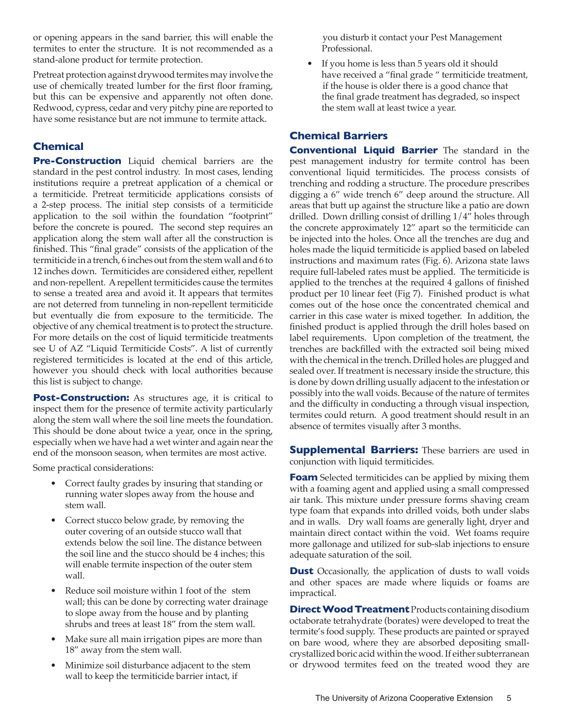or opening appears in the sand barrier, this will enable the termites to enter the structure. It is not recommended as a stand-alone product for termite protection.

Pretreat protection against drywood termites may involve the use of chemically treated lumber for the first floor framing, but this can be expensive and apparently not often done. Redwood, cypress, cedar and very pitchy pine are reported to have some resistance but are not immune to termite attack.

### **Chemical**

**Pre-Construction** Liquid chemical barriers are the standard in the pest control industry. In most cases, lending institutions require a pretreat application of a chemical or a termiticide. Pretreat termiticide applications consists of a 2-step process. The initial step consists of a termiticide application to the soil within the foundation "footprint" before the concrete is poured. The second step requires an application along the stem wall after all the construction is finished. This "final grade" consists of the application of the termiticide in a trench, 6 inches out from the stem wall and 6 to 12 inches down. Termiticides are considered either, repellent and non-repellent. A repellent termiticides cause the termites to sense a treated area and avoid it. It appears that termites are not deterred from tunneling in non-repellent termiticide but eventually die from exposure to the termiticide. The objective of any chemical treatment is to protect the structure. For more details on the cost of liquid termiticide treatments see U of AZ "Liquid Termiticide Costs". A list of currently registered termiticides is located at the end of this article, however you should check with local authorities because this list is subject to change.

**Post-Construction:** As structures age, it is critical to inspect them for the presence of termite activity particularly along the stem wall where the soil line meets the foundation. This should be done about twice a year, once in the spring, especially when we have had a wet winter and again near the end of the monsoon season, when termites are most active.

Some practical considerations:

- Correct faulty grades by insuring that standing or running water slopes away from the house and stem wall.
- Correct stucco below grade, by removing the outer covering of an outside stucco wall that extends below the soil line. The distance between the soil line and the stucco should be 4 inches; this will enable termite inspection of the outer stem wall.
- Reduce soil moisture within 1 foot of the stem wall; this can be done by correcting water drainage to slope away from the house and by planting shrubs and trees at least 18" from the stem wall.
- Make sure all main irrigation pipes are more than 18" away from the stem wall.
- Minimize soil disturbance adjacent to the stem wall to keep the termiticide barrier intact, if

 you disturb it contact your Pest Management Professional.

 • If you home is less than 5 years old it should have received a "final grade " termiticide treatment, if the house is older there is a good chance that the final grade treatment has degraded, so inspect the stem wall at least twice a year.

#### **Chemical Barriers**

**Conventional Liquid Barrier** The standard in the pest management industry for termite control has been conventional liquid termiticides. The process consists of trenching and rodding a structure. The procedure prescribes digging a 6" wide trench 6" deep around the structure. All areas that butt up against the structure like a patio are down drilled. Down drilling consist of drilling 1/4" holes through the concrete approximately 12" apart so the termiticide can be injected into the holes. Once all the trenches are dug and holes made the liquid termiticide is applied based on labeled instructions and maximum rates (Fig. 6). Arizona state laws require full-labeled rates must be applied. The termiticide is applied to the trenches at the required 4 gallons of finished product per 10 linear feet (Fig 7). Finished product is what comes out of the hose once the concentrated chemical and carrier in this case water is mixed together. In addition, the finished product is applied through the drill holes based on label requirements. Upon completion of the treatment, the trenches are backfilled with the extracted soil being mixed with the chemical in the trench. Drilled holes are plugged and sealed over. If treatment is necessary inside the structure, this is done by down drilling usually adjacent to the infestation or possibly into the wall voids. Because of the nature of termites and the difficulty in conducting a through visual inspection, termites could return. A good treatment should result in an absence of termites visually after 3 months.

**Supplemental Barriers:** These barriers are used in conjunction with liquid termiticides.

**Foam** Selected termiticides can be applied by mixing them with a foaming agent and applied using a small compressed air tank. This mixture under pressure forms shaving cream type foam that expands into drilled voids, both under slabs and in walls. Dry wall foams are generally light, dryer and maintain direct contact within the void. Wet foams require more gallonage and utilized for sub-slab injections to ensure adequate saturation of the soil.

**Dust** Occasionally, the application of dusts to wall voids and other spaces are made where liquids or foams are impractical.

**Direct Wood Treatment** Products containing disodium octaborate tetrahydrate (borates) were developed to treat the termite's food supply. These products are painted or sprayed on bare wood, where they are absorbed depositing smallcrystallized boric acid within the wood. If either subterranean or drywood termites feed on the treated wood they are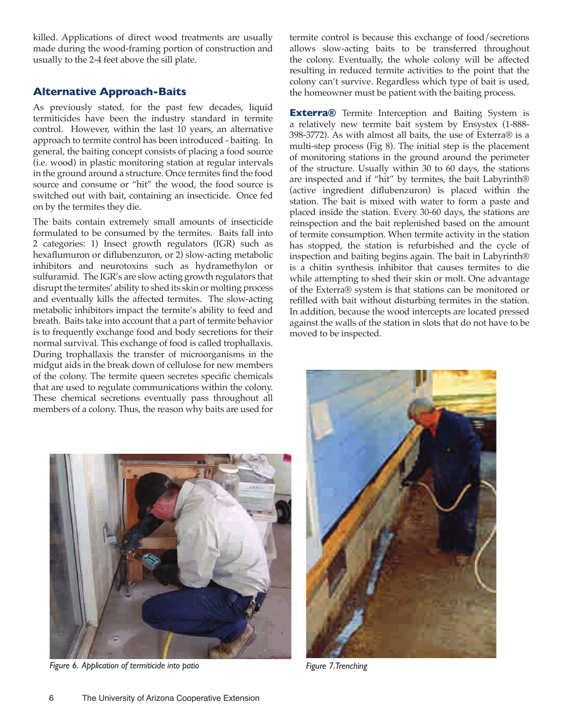killed. Applications of direct wood treatments are usually made during the wood-framing portion of construction and usually to the 2-4 feet above the sill plate.

#### **Alternative Approach-Baits**

As previously stated, for the past few decades, liquid termiticides have been the industry standard in termite control. However, within the last 10 years, an alternative approach to termite control has been introduced - baiting. In general, the baiting concept consists of placing a food source (i.e. wood) in plastic monitoring station at regular intervals in the ground around a structure. Once termites find the food source and consume or "hit" the wood, the food source is switched out with bait, containing an insecticide. Once fed on by the termites they die.

The baits contain extremely small amounts of insecticide formulated to be consumed by the termites. Baits fall into 2 categories: 1) Insect growth regulators (IGR) such as hexaflumuron or diflubenzuron, or 2) slow-acting metabolic inhibitors and neurotoxins such as hydramethylon or sulfuramid. The IGR's are slow acting growth regulators that disrupt the termites' ability to shed its skin or molting process and eventually kills the affected termites. The slow-acting metabolic inhibitors impact the termite's ability to feed and breath. Baits take into account that a part of termite behavior is to frequently exchange food and body secretions for their normal survival. This exchange of food is called trophallaxis. During trophallaxis the transfer of microorganisms in the midgut aids in the break down of cellulose for new members of the colony. The termite queen secretes specific chemicals that are used to regulate communications within the colony. These chemical secretions eventually pass throughout all members of a colony. Thus, the reason why baits are used for

termite control is because this exchange of food/secretions allows slow-acting baits to be transferred throughout the colony. Eventually, the whole colony will be affected resulting in reduced termite activities to the point that the colony can't survive. Regardless which type of bait is used, the homeowner must be patient with the baiting process.

**Exterra**® Termite Interception and Baiting System is a relatively new termite bait system by Ensystex (1-888- 398-3772). As with almost all baits, the use of Exterra® is a multi-step process (Fig 8). The initial step is the placement of monitoring stations in the ground around the perimeter of the structure. Usually within 30 to 60 days, the stations are inspected and if "hit" by termites, the bait Labyrinth® (active ingredient diflubenzuron) is placed within the station. The bait is mixed with water to form a paste and placed inside the station. Every 30-60 days, the stations are reinspection and the bait replenished based on the amount of termite consumption. When termite activity in the station has stopped, the station is refurbished and the cycle of inspection and baiting begins again. The bait in Labyrinth® is a chitin synthesis inhibitor that causes termites to die while attempting to shed their skin or molt. One advantage of the Exterra® system is that stations can be monitored or refilled with bait without disturbing termites in the station. In addition, because the wood intercepts are located pressed against the walls of the station in slots that do not have to be moved to be inspected.



*Figure 6. Application of termiticide into patio Figure 7. Trenching*

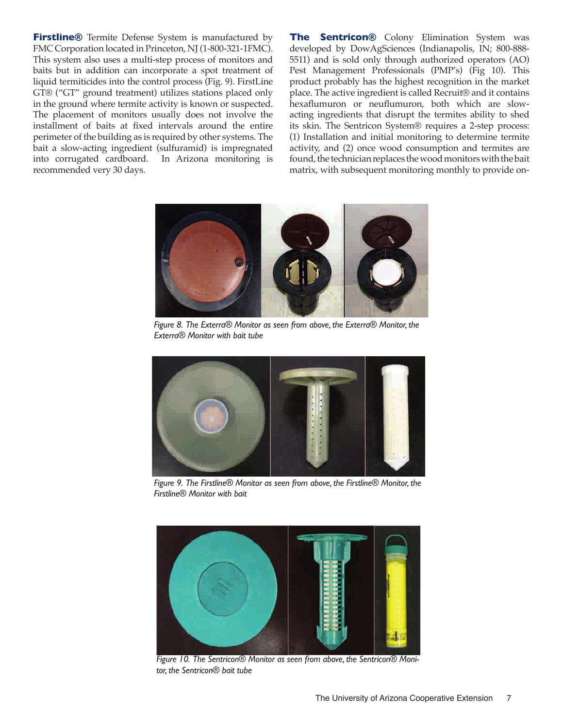**Firstline®** Termite Defense System is manufactured by FMC Corporation located in Princeton, NJ (1-800-321-1FMC). This system also uses a multi-step process of monitors and baits but in addition can incorporate a spot treatment of liquid termiticides into the control process (Fig. 9). FirstLine GT® ("GT" ground treatment) utilizes stations placed only in the ground where termite activity is known or suspected. The placement of monitors usually does not involve the installment of baits at fixed intervals around the entire perimeter of the building as is required by other systems. The bait a slow-acting ingredient (sulfuramid) is impregnated into corrugated cardboard. In Arizona monitoring is recommended very 30 days.

**The Sentricon®** Colony Elimination System was developed by DowAgSciences (Indianapolis, IN; 800-888- 5511) and is sold only through authorized operators (AO) Pest Management Professionals (PMP's) (Fig 10). This product probably has the highest recognition in the market place. The active ingredient is called Recruit® and it contains hexaflumuron or neuflumuron, both which are slowacting ingredients that disrupt the termites ability to shed its skin. The Sentricon System® requires a 2-step process: (1) Installation and initial monitoring to determine termite activity, and (2) once wood consumption and termites are found, the technician replaces the wood monitors with the bait matrix, with subsequent monitoring monthly to provide on-



*Figure 8. The Exterra® Monitor as seen from above, the Exterra® Monitor, the Exterra® Monitor with bait tube*



*Figure 9. The Firstline® Monitor as seen from above, the Firstline® Monitor, the Firstline® Monitor with bait* 



*Figure 10. The Sentricon® Monitor as seen from above, the Sentricon® Monitor, the Sentricon® bait tube*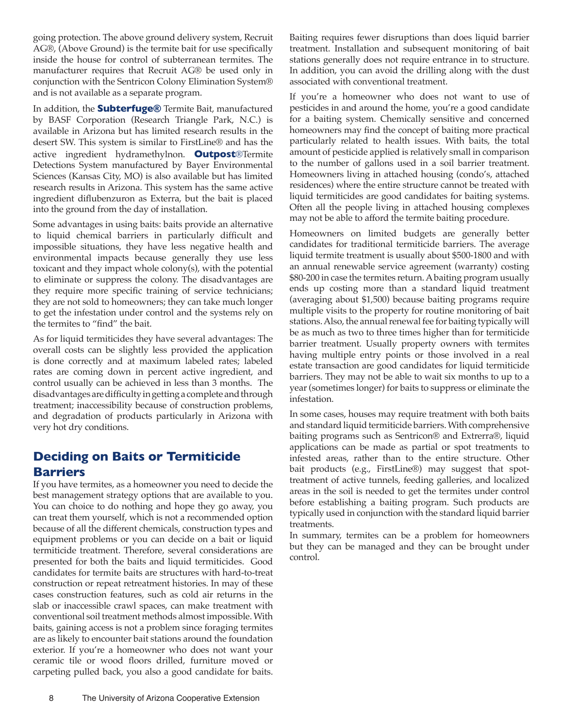going protection. The above ground delivery system, Recruit AG®, (Above Ground) is the termite bait for use specifically inside the house for control of subterranean termites. The manufacturer requires that Recruit AG® be used only in conjunction with the Sentricon Colony Elimination System® and is not available as a separate program.

In addition, the **Subterfuge®** Termite Bait, manufactured by BASF Corporation (Research Triangle Park, N.C.) is available in Arizona but has limited research results in the desert SW. This system is similar to FirstLine® and has the active ingredient hydramethylnon. **Outpost**®Termite Detections System manufactured by Bayer Environmental Sciences (Kansas City, MO) is also available but has limited research results in Arizona. This system has the same active ingredient diflubenzuron as Exterra, but the bait is placed into the ground from the day of installation.

Some advantages in using baits: baits provide an alternative to liquid chemical barriers in particularly difficult and impossible situations, they have less negative health and environmental impacts because generally they use less toxicant and they impact whole colony(s), with the potential to eliminate or suppress the colony. The disadvantages are they require more specific training of service technicians; they are not sold to homeowners; they can take much longer to get the infestation under control and the systems rely on the termites to "find" the bait.

As for liquid termiticides they have several advantages: The overall costs can be slightly less provided the application is done correctly and at maximum labeled rates; labeled rates are coming down in percent active ingredient, and control usually can be achieved in less than 3 months. The disadvantages are difficulty in getting a complete and through treatment; inaccessibility because of construction problems, and degradation of products particularly in Arizona with very hot dry conditions.

# **Deciding on Baits or Termiticide Barriers**

If you have termites, as a homeowner you need to decide the best management strategy options that are available to you. You can choice to do nothing and hope they go away, you can treat them yourself, which is not a recommended option because of all the different chemicals, construction types and equipment problems or you can decide on a bait or liquid termiticide treatment. Therefore, several considerations are presented for both the baits and liquid termiticides. Good candidates for termite baits are structures with hard-to-treat construction or repeat retreatment histories. In may of these cases construction features, such as cold air returns in the slab or inaccessible crawl spaces, can make treatment with conventional soil treatment methods almost impossible. With baits, gaining access is not a problem since foraging termites are as likely to encounter bait stations around the foundation exterior. If you're a homeowner who does not want your ceramic tile or wood floors drilled, furniture moved or carpeting pulled back, you also a good candidate for baits.

Baiting requires fewer disruptions than does liquid barrier treatment. Installation and subsequent monitoring of bait stations generally does not require entrance in to structure. In addition, you can avoid the drilling along with the dust associated with conventional treatment.

If you're a homeowner who does not want to use of pesticides in and around the home, you're a good candidate for a baiting system. Chemically sensitive and concerned homeowners may find the concept of baiting more practical particularly related to health issues. With baits, the total amount of pesticide applied is relatively small in comparison to the number of gallons used in a soil barrier treatment. Homeowners living in attached housing (condo's, attached residences) where the entire structure cannot be treated with liquid termiticides are good candidates for baiting systems. Often all the people living in attached housing complexes may not be able to afford the termite baiting procedure.

Homeowners on limited budgets are generally better candidates for traditional termiticide barriers. The average liquid termite treatment is usually about \$500-1800 and with an annual renewable service agreement (warranty) costing \$80-200 in case the termites return. A baiting program usually ends up costing more than a standard liquid treatment (averaging about \$1,500) because baiting programs require multiple visits to the property for routine monitoring of bait stations. Also, the annual renewal fee for baiting typically will be as much as two to three times higher than for termiticide barrier treatment. Usually property owners with termites having multiple entry points or those involved in a real estate transaction are good candidates for liquid termiticide barriers. They may not be able to wait six months to up to a year (sometimes longer) for baits to suppress or eliminate the infestation.

In some cases, houses may require treatment with both baits and standard liquid termiticide barriers. With comprehensive baiting programs such as Sentricon® and Extrerra®, liquid applications can be made as partial or spot treatments to infested areas, rather than to the entire structure. Other bait products (e.g., FirstLine®) may suggest that spottreatment of active tunnels, feeding galleries, and localized areas in the soil is needed to get the termites under control before establishing a baiting program. Such products are typically used in conjunction with the standard liquid barrier treatments.

In summary, termites can be a problem for homeowners but they can be managed and they can be brought under control.